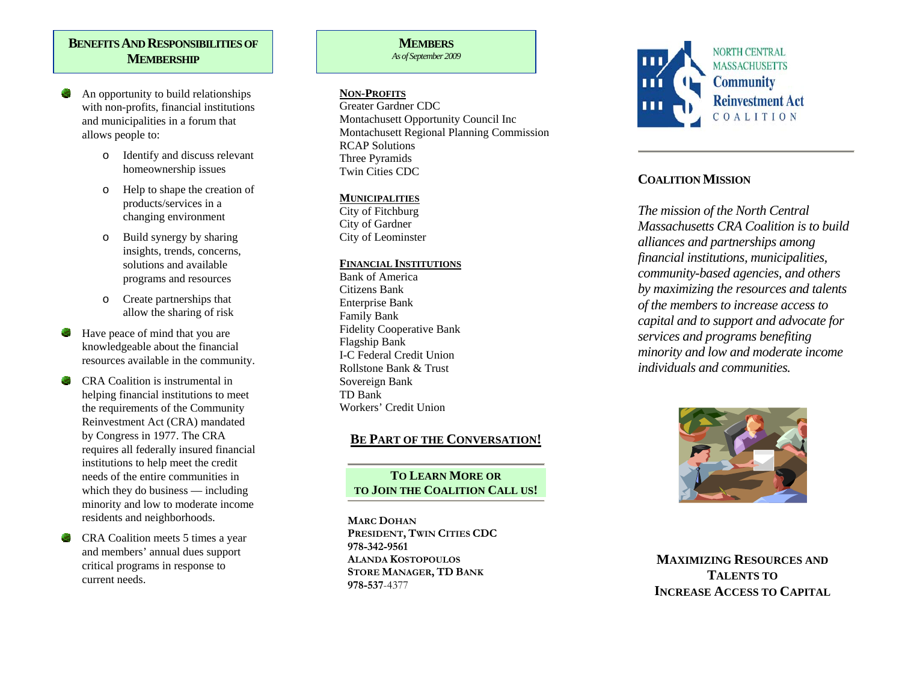## **BENEFITS AND RESPONSIBILITIES OF MEMBERSHIP**

- An opportunity to build relationships with non-profits, financial institutions and municipalities in a forum that allows people to:
	- o Identify and discuss relevant homeownership issues
	- o Help to shape the creation of products/services in a changing environment
	- o Build synergy by sharing insights, trends, concerns, solutions and available programs and resources
	- o Create partnerships that allow the sharing of risk
- Have peace of mind that you are knowledgeable about the financial resources available in the community.
- CRA Coalition is instrumental in helping financial institutions to meet the requirements of the Community Reinvestment Act (CRA) mandated by Congress in 1977. The CRA requires all federally insured financial institutions to help meet the credit needs of the entire communities in which they do business — including minority and low to moderate income residents and neighborhoods.
- CRA Coalition meets 5 times a year and members' annual dues support critical programs in response to current needs.

#### **MEMBERS***As of September 2009*

**NON-PROFITS**

Greater Gardner CDC Montachusett Opportunity Council Inc Montachusett Regional Planning Commission RCAP Solutions Three Pyramids Twin Cities CDC

## **MUNICIPALITIES**

City of Fitchburg City of Gardner City of Leominster

## **FINANCIAL INSTITUTIONS**

Bank of America Citizens Bank Enterprise Bank Family Bank Fidelity Cooperative Bank Flagship Bank I-C Federal Credit Union Rollstone Bank & Trust Sovereign Bank TD Bank Workers' Credit Union

# **BE PART OF THE CONVERSATION!**

## **TO LEARN MORE OR TO JOIN THE COALITION CALL US!**

**MARC DOHANPRESIDENT, TWIN CITIES CDC 978-342-9561ALANDA KOSTOPOULOSSTORE MANAGER, TD BANK 978-537**-4377



# **COALITION MISSION**

*The mission of the North Central Massachusetts CRA Coalition is to build alliances and partnerships among financial institutions, municipalities, community-based agencies, and others by maximizing the resources and talents of the members to increase access to capital and to support and advocate for services and programs benefiting minority and low and moderate income individuals and communities.* 



**MAXIMIZING RESOURCES AND TALENTS TO INCREASE ACCESS TO CAPITAL**